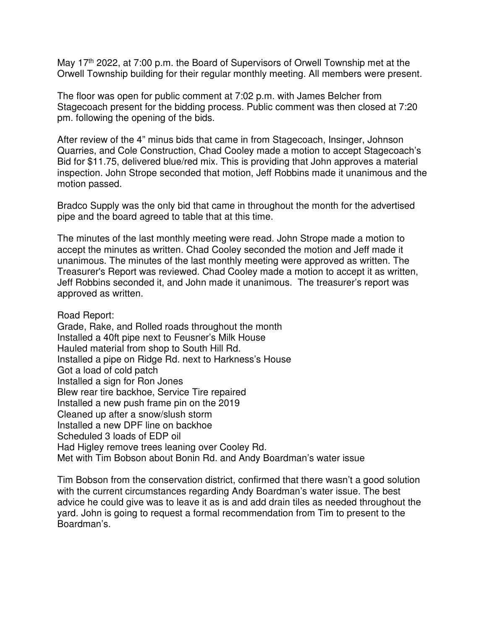May 17<sup>th</sup> 2022, at 7:00 p.m. the Board of Supervisors of Orwell Township met at the Orwell Township building for their regular monthly meeting. All members were present.

The floor was open for public comment at 7:02 p.m. with James Belcher from Stagecoach present for the bidding process. Public comment was then closed at 7:20 pm. following the opening of the bids.

After review of the 4" minus bids that came in from Stagecoach, Insinger, Johnson Quarries, and Cole Construction, Chad Cooley made a motion to accept Stagecoach's Bid for \$11.75, delivered blue/red mix. This is providing that John approves a material inspection. John Strope seconded that motion, Jeff Robbins made it unanimous and the motion passed.

Bradco Supply was the only bid that came in throughout the month for the advertised pipe and the board agreed to table that at this time.

The minutes of the last monthly meeting were read. John Strope made a motion to accept the minutes as written. Chad Cooley seconded the motion and Jeff made it unanimous. The minutes of the last monthly meeting were approved as written. The Treasurer's Report was reviewed. Chad Cooley made a motion to accept it as written, Jeff Robbins seconded it, and John made it unanimous. The treasurer's report was approved as written.

Road Report:

Grade, Rake, and Rolled roads throughout the month Installed a 40ft pipe next to Feusner's Milk House Hauled material from shop to South Hill Rd. Installed a pipe on Ridge Rd. next to Harkness's House Got a load of cold patch Installed a sign for Ron Jones Blew rear tire backhoe, Service Tire repaired Installed a new push frame pin on the 2019 Cleaned up after a snow/slush storm Installed a new DPF line on backhoe Scheduled 3 loads of EDP oil Had Higley remove trees leaning over Cooley Rd. Met with Tim Bobson about Bonin Rd. and Andy Boardman's water issue

Tim Bobson from the conservation district, confirmed that there wasn't a good solution with the current circumstances regarding Andy Boardman's water issue. The best advice he could give was to leave it as is and add drain tiles as needed throughout the yard. John is going to request a formal recommendation from Tim to present to the Boardman's.